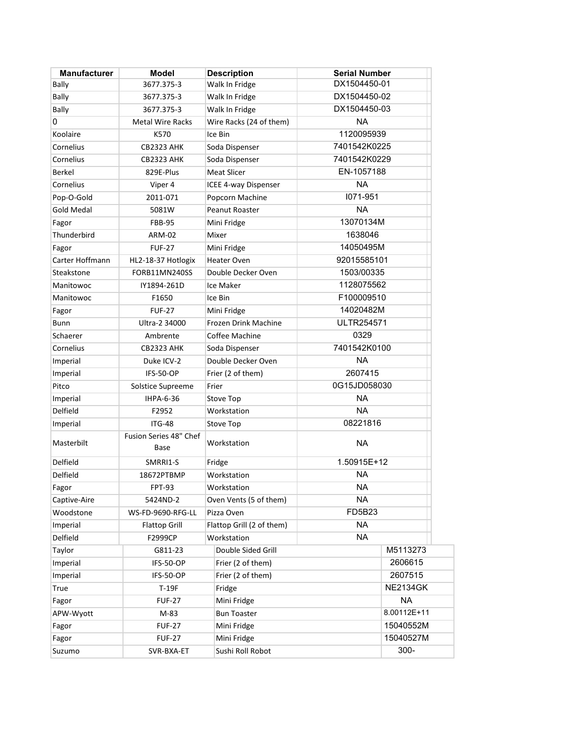| DX1504450-01<br>3677.375-3<br>Walk In Fridge<br>DX1504450-02<br>3677.375-3<br>Walk In Fridge<br>DX1504450-03<br>Walk In Fridge<br>3677.375-3<br><b>NA</b><br>Wire Racks (24 of them)<br><b>Metal Wire Racks</b><br>1120095939<br>K570<br>Ice Bin<br>7401542K0225<br><b>CB2323 AHK</b><br>Soda Dispenser<br>7401542K0229<br><b>CB2323 AHK</b><br>Soda Dispenser<br>EN-1057188<br><b>Meat Slicer</b><br>829E-Plus<br><b>NA</b><br>Viper 4<br>ICEE 4-way Dispenser<br>1071-951<br>Popcorn Machine<br>2011-071<br><b>NA</b><br>5081W<br><b>Peanut Roaster</b><br>13070134M<br><b>FBB-95</b><br>Mini Fridge<br>1638046<br><b>ARM-02</b><br>Mixer<br>14050495M<br><b>FUF-27</b><br>Mini Fridge<br>92015585101<br><b>Heater Oven</b><br>HL2-18-37 Hotlogix<br>1503/00335<br>FORB11MN240SS<br>Double Decker Oven<br>1128075562<br>Ice Maker<br>IY1894-261D<br>F100009510<br>F1650<br>Ice Bin<br>14020482M<br><b>FUF-27</b><br>Mini Fridge<br><b>ULTR254571</b><br>Frozen Drink Machine<br>Ultra-2 34000<br>0329<br>Coffee Machine<br>Ambrente<br>7401542K0100<br><b>CB2323 AHK</b><br>Soda Dispenser<br><b>NA</b><br>Double Decker Oven<br>Duke ICV-2<br>2607415<br><b>IFS-50-OP</b><br>Frier (2 of them)<br>0G15JD058030<br>Solstice Supreeme<br>Frier<br><b>NA</b><br><b>IHPA-6-36</b><br>Stove Top<br><b>NA</b><br>Workstation<br>F2952<br>08221816<br><b>ITG-48</b><br><b>Stove Top</b><br>Fusion Series 48" Chef<br><b>NA</b><br>Workstation<br>Base<br>1.50915E+12<br>SMRRI1-S<br>Fridge<br><b>NA</b><br>Workstation<br>18672PTBMP<br><b>NA</b><br><b>FPT-93</b><br>Workstation<br>NA<br>5424ND-2<br>Oven Vents (5 of them)<br>FD5B23<br>WS-FD-9690-RFG-LL<br>Pizza Oven<br><b>NA</b><br>Flattop Grill (2 of them)<br><b>Flattop Grill</b><br><b>NA</b><br>F2999CP<br>Workstation<br>M5113273<br>Double Sided Grill<br>G811-23<br>2606615<br>IFS-50-OP<br>Frier (2 of them)<br>2607515<br>IFS-50-OP<br>Frier (2 of them)<br><b>NE2134GK</b><br>$T-19F$<br>Fridge<br><b>NA</b><br>Mini Fridge<br><b>FUF-27</b><br>8.00112E+11<br>M-83<br><b>Bun Toaster</b><br>15040552M<br>Mini Fridge<br><b>FUF-27</b><br>Mini Fridge<br>15040527M<br><b>FUF-27</b> | <b>Manufacturer</b> | <b>Model</b> | <b>Description</b> | <b>Serial Number</b> |      |  |
|----------------------------------------------------------------------------------------------------------------------------------------------------------------------------------------------------------------------------------------------------------------------------------------------------------------------------------------------------------------------------------------------------------------------------------------------------------------------------------------------------------------------------------------------------------------------------------------------------------------------------------------------------------------------------------------------------------------------------------------------------------------------------------------------------------------------------------------------------------------------------------------------------------------------------------------------------------------------------------------------------------------------------------------------------------------------------------------------------------------------------------------------------------------------------------------------------------------------------------------------------------------------------------------------------------------------------------------------------------------------------------------------------------------------------------------------------------------------------------------------------------------------------------------------------------------------------------------------------------------------------------------------------------------------------------------------------------------------------------------------------------------------------------------------------------------------------------------------------------------------------------------------------------------------------------------------------------------------------------------------------------------------------------------------------------------------------------------------------------------------------------------------------|---------------------|--------------|--------------------|----------------------|------|--|
|                                                                                                                                                                                                                                                                                                                                                                                                                                                                                                                                                                                                                                                                                                                                                                                                                                                                                                                                                                                                                                                                                                                                                                                                                                                                                                                                                                                                                                                                                                                                                                                                                                                                                                                                                                                                                                                                                                                                                                                                                                                                                                                                                    | <b>Bally</b>        |              |                    |                      |      |  |
|                                                                                                                                                                                                                                                                                                                                                                                                                                                                                                                                                                                                                                                                                                                                                                                                                                                                                                                                                                                                                                                                                                                                                                                                                                                                                                                                                                                                                                                                                                                                                                                                                                                                                                                                                                                                                                                                                                                                                                                                                                                                                                                                                    | Bally               |              |                    |                      |      |  |
|                                                                                                                                                                                                                                                                                                                                                                                                                                                                                                                                                                                                                                                                                                                                                                                                                                                                                                                                                                                                                                                                                                                                                                                                                                                                                                                                                                                                                                                                                                                                                                                                                                                                                                                                                                                                                                                                                                                                                                                                                                                                                                                                                    | Bally               |              |                    |                      |      |  |
|                                                                                                                                                                                                                                                                                                                                                                                                                                                                                                                                                                                                                                                                                                                                                                                                                                                                                                                                                                                                                                                                                                                                                                                                                                                                                                                                                                                                                                                                                                                                                                                                                                                                                                                                                                                                                                                                                                                                                                                                                                                                                                                                                    | 0                   |              |                    |                      |      |  |
|                                                                                                                                                                                                                                                                                                                                                                                                                                                                                                                                                                                                                                                                                                                                                                                                                                                                                                                                                                                                                                                                                                                                                                                                                                                                                                                                                                                                                                                                                                                                                                                                                                                                                                                                                                                                                                                                                                                                                                                                                                                                                                                                                    | Koolaire            |              |                    |                      |      |  |
|                                                                                                                                                                                                                                                                                                                                                                                                                                                                                                                                                                                                                                                                                                                                                                                                                                                                                                                                                                                                                                                                                                                                                                                                                                                                                                                                                                                                                                                                                                                                                                                                                                                                                                                                                                                                                                                                                                                                                                                                                                                                                                                                                    | Cornelius           |              |                    |                      |      |  |
|                                                                                                                                                                                                                                                                                                                                                                                                                                                                                                                                                                                                                                                                                                                                                                                                                                                                                                                                                                                                                                                                                                                                                                                                                                                                                                                                                                                                                                                                                                                                                                                                                                                                                                                                                                                                                                                                                                                                                                                                                                                                                                                                                    | Cornelius           |              |                    |                      |      |  |
|                                                                                                                                                                                                                                                                                                                                                                                                                                                                                                                                                                                                                                                                                                                                                                                                                                                                                                                                                                                                                                                                                                                                                                                                                                                                                                                                                                                                                                                                                                                                                                                                                                                                                                                                                                                                                                                                                                                                                                                                                                                                                                                                                    | <b>Berkel</b>       |              |                    |                      |      |  |
|                                                                                                                                                                                                                                                                                                                                                                                                                                                                                                                                                                                                                                                                                                                                                                                                                                                                                                                                                                                                                                                                                                                                                                                                                                                                                                                                                                                                                                                                                                                                                                                                                                                                                                                                                                                                                                                                                                                                                                                                                                                                                                                                                    | Cornelius           |              |                    |                      |      |  |
|                                                                                                                                                                                                                                                                                                                                                                                                                                                                                                                                                                                                                                                                                                                                                                                                                                                                                                                                                                                                                                                                                                                                                                                                                                                                                                                                                                                                                                                                                                                                                                                                                                                                                                                                                                                                                                                                                                                                                                                                                                                                                                                                                    | Pop-O-Gold          |              |                    |                      |      |  |
|                                                                                                                                                                                                                                                                                                                                                                                                                                                                                                                                                                                                                                                                                                                                                                                                                                                                                                                                                                                                                                                                                                                                                                                                                                                                                                                                                                                                                                                                                                                                                                                                                                                                                                                                                                                                                                                                                                                                                                                                                                                                                                                                                    | <b>Gold Medal</b>   |              |                    |                      |      |  |
|                                                                                                                                                                                                                                                                                                                                                                                                                                                                                                                                                                                                                                                                                                                                                                                                                                                                                                                                                                                                                                                                                                                                                                                                                                                                                                                                                                                                                                                                                                                                                                                                                                                                                                                                                                                                                                                                                                                                                                                                                                                                                                                                                    | Fagor               |              |                    |                      |      |  |
|                                                                                                                                                                                                                                                                                                                                                                                                                                                                                                                                                                                                                                                                                                                                                                                                                                                                                                                                                                                                                                                                                                                                                                                                                                                                                                                                                                                                                                                                                                                                                                                                                                                                                                                                                                                                                                                                                                                                                                                                                                                                                                                                                    | Thunderbird         |              |                    |                      |      |  |
|                                                                                                                                                                                                                                                                                                                                                                                                                                                                                                                                                                                                                                                                                                                                                                                                                                                                                                                                                                                                                                                                                                                                                                                                                                                                                                                                                                                                                                                                                                                                                                                                                                                                                                                                                                                                                                                                                                                                                                                                                                                                                                                                                    | Fagor               |              |                    |                      |      |  |
|                                                                                                                                                                                                                                                                                                                                                                                                                                                                                                                                                                                                                                                                                                                                                                                                                                                                                                                                                                                                                                                                                                                                                                                                                                                                                                                                                                                                                                                                                                                                                                                                                                                                                                                                                                                                                                                                                                                                                                                                                                                                                                                                                    | Carter Hoffmann     |              |                    |                      |      |  |
|                                                                                                                                                                                                                                                                                                                                                                                                                                                                                                                                                                                                                                                                                                                                                                                                                                                                                                                                                                                                                                                                                                                                                                                                                                                                                                                                                                                                                                                                                                                                                                                                                                                                                                                                                                                                                                                                                                                                                                                                                                                                                                                                                    | Steakstone          |              |                    |                      |      |  |
|                                                                                                                                                                                                                                                                                                                                                                                                                                                                                                                                                                                                                                                                                                                                                                                                                                                                                                                                                                                                                                                                                                                                                                                                                                                                                                                                                                                                                                                                                                                                                                                                                                                                                                                                                                                                                                                                                                                                                                                                                                                                                                                                                    | Manitowoc           |              |                    |                      |      |  |
|                                                                                                                                                                                                                                                                                                                                                                                                                                                                                                                                                                                                                                                                                                                                                                                                                                                                                                                                                                                                                                                                                                                                                                                                                                                                                                                                                                                                                                                                                                                                                                                                                                                                                                                                                                                                                                                                                                                                                                                                                                                                                                                                                    | Manitowoc           |              |                    |                      |      |  |
|                                                                                                                                                                                                                                                                                                                                                                                                                                                                                                                                                                                                                                                                                                                                                                                                                                                                                                                                                                                                                                                                                                                                                                                                                                                                                                                                                                                                                                                                                                                                                                                                                                                                                                                                                                                                                                                                                                                                                                                                                                                                                                                                                    | Fagor               |              |                    |                      |      |  |
|                                                                                                                                                                                                                                                                                                                                                                                                                                                                                                                                                                                                                                                                                                                                                                                                                                                                                                                                                                                                                                                                                                                                                                                                                                                                                                                                                                                                                                                                                                                                                                                                                                                                                                                                                                                                                                                                                                                                                                                                                                                                                                                                                    | Bunn                |              |                    |                      |      |  |
|                                                                                                                                                                                                                                                                                                                                                                                                                                                                                                                                                                                                                                                                                                                                                                                                                                                                                                                                                                                                                                                                                                                                                                                                                                                                                                                                                                                                                                                                                                                                                                                                                                                                                                                                                                                                                                                                                                                                                                                                                                                                                                                                                    | Schaerer            |              |                    |                      |      |  |
|                                                                                                                                                                                                                                                                                                                                                                                                                                                                                                                                                                                                                                                                                                                                                                                                                                                                                                                                                                                                                                                                                                                                                                                                                                                                                                                                                                                                                                                                                                                                                                                                                                                                                                                                                                                                                                                                                                                                                                                                                                                                                                                                                    | Cornelius           |              |                    |                      |      |  |
|                                                                                                                                                                                                                                                                                                                                                                                                                                                                                                                                                                                                                                                                                                                                                                                                                                                                                                                                                                                                                                                                                                                                                                                                                                                                                                                                                                                                                                                                                                                                                                                                                                                                                                                                                                                                                                                                                                                                                                                                                                                                                                                                                    | Imperial            |              |                    |                      |      |  |
|                                                                                                                                                                                                                                                                                                                                                                                                                                                                                                                                                                                                                                                                                                                                                                                                                                                                                                                                                                                                                                                                                                                                                                                                                                                                                                                                                                                                                                                                                                                                                                                                                                                                                                                                                                                                                                                                                                                                                                                                                                                                                                                                                    | Imperial            |              |                    |                      |      |  |
|                                                                                                                                                                                                                                                                                                                                                                                                                                                                                                                                                                                                                                                                                                                                                                                                                                                                                                                                                                                                                                                                                                                                                                                                                                                                                                                                                                                                                                                                                                                                                                                                                                                                                                                                                                                                                                                                                                                                                                                                                                                                                                                                                    | Pitco               |              |                    |                      |      |  |
|                                                                                                                                                                                                                                                                                                                                                                                                                                                                                                                                                                                                                                                                                                                                                                                                                                                                                                                                                                                                                                                                                                                                                                                                                                                                                                                                                                                                                                                                                                                                                                                                                                                                                                                                                                                                                                                                                                                                                                                                                                                                                                                                                    | Imperial            |              |                    |                      |      |  |
|                                                                                                                                                                                                                                                                                                                                                                                                                                                                                                                                                                                                                                                                                                                                                                                                                                                                                                                                                                                                                                                                                                                                                                                                                                                                                                                                                                                                                                                                                                                                                                                                                                                                                                                                                                                                                                                                                                                                                                                                                                                                                                                                                    | Delfield            |              |                    |                      |      |  |
|                                                                                                                                                                                                                                                                                                                                                                                                                                                                                                                                                                                                                                                                                                                                                                                                                                                                                                                                                                                                                                                                                                                                                                                                                                                                                                                                                                                                                                                                                                                                                                                                                                                                                                                                                                                                                                                                                                                                                                                                                                                                                                                                                    | Imperial            |              |                    |                      |      |  |
|                                                                                                                                                                                                                                                                                                                                                                                                                                                                                                                                                                                                                                                                                                                                                                                                                                                                                                                                                                                                                                                                                                                                                                                                                                                                                                                                                                                                                                                                                                                                                                                                                                                                                                                                                                                                                                                                                                                                                                                                                                                                                                                                                    | Masterbilt          |              |                    |                      |      |  |
|                                                                                                                                                                                                                                                                                                                                                                                                                                                                                                                                                                                                                                                                                                                                                                                                                                                                                                                                                                                                                                                                                                                                                                                                                                                                                                                                                                                                                                                                                                                                                                                                                                                                                                                                                                                                                                                                                                                                                                                                                                                                                                                                                    | Delfield            |              |                    |                      |      |  |
|                                                                                                                                                                                                                                                                                                                                                                                                                                                                                                                                                                                                                                                                                                                                                                                                                                                                                                                                                                                                                                                                                                                                                                                                                                                                                                                                                                                                                                                                                                                                                                                                                                                                                                                                                                                                                                                                                                                                                                                                                                                                                                                                                    | Delfield            |              |                    |                      |      |  |
|                                                                                                                                                                                                                                                                                                                                                                                                                                                                                                                                                                                                                                                                                                                                                                                                                                                                                                                                                                                                                                                                                                                                                                                                                                                                                                                                                                                                                                                                                                                                                                                                                                                                                                                                                                                                                                                                                                                                                                                                                                                                                                                                                    | Fagor               |              |                    |                      |      |  |
|                                                                                                                                                                                                                                                                                                                                                                                                                                                                                                                                                                                                                                                                                                                                                                                                                                                                                                                                                                                                                                                                                                                                                                                                                                                                                                                                                                                                                                                                                                                                                                                                                                                                                                                                                                                                                                                                                                                                                                                                                                                                                                                                                    | Captive-Aire        |              |                    |                      |      |  |
|                                                                                                                                                                                                                                                                                                                                                                                                                                                                                                                                                                                                                                                                                                                                                                                                                                                                                                                                                                                                                                                                                                                                                                                                                                                                                                                                                                                                                                                                                                                                                                                                                                                                                                                                                                                                                                                                                                                                                                                                                                                                                                                                                    | Woodstone           |              |                    |                      |      |  |
|                                                                                                                                                                                                                                                                                                                                                                                                                                                                                                                                                                                                                                                                                                                                                                                                                                                                                                                                                                                                                                                                                                                                                                                                                                                                                                                                                                                                                                                                                                                                                                                                                                                                                                                                                                                                                                                                                                                                                                                                                                                                                                                                                    | Imperial            |              |                    |                      |      |  |
|                                                                                                                                                                                                                                                                                                                                                                                                                                                                                                                                                                                                                                                                                                                                                                                                                                                                                                                                                                                                                                                                                                                                                                                                                                                                                                                                                                                                                                                                                                                                                                                                                                                                                                                                                                                                                                                                                                                                                                                                                                                                                                                                                    | Delfield            |              |                    |                      |      |  |
|                                                                                                                                                                                                                                                                                                                                                                                                                                                                                                                                                                                                                                                                                                                                                                                                                                                                                                                                                                                                                                                                                                                                                                                                                                                                                                                                                                                                                                                                                                                                                                                                                                                                                                                                                                                                                                                                                                                                                                                                                                                                                                                                                    | Taylor              |              |                    |                      |      |  |
|                                                                                                                                                                                                                                                                                                                                                                                                                                                                                                                                                                                                                                                                                                                                                                                                                                                                                                                                                                                                                                                                                                                                                                                                                                                                                                                                                                                                                                                                                                                                                                                                                                                                                                                                                                                                                                                                                                                                                                                                                                                                                                                                                    | Imperial            |              |                    |                      |      |  |
|                                                                                                                                                                                                                                                                                                                                                                                                                                                                                                                                                                                                                                                                                                                                                                                                                                                                                                                                                                                                                                                                                                                                                                                                                                                                                                                                                                                                                                                                                                                                                                                                                                                                                                                                                                                                                                                                                                                                                                                                                                                                                                                                                    | Imperial            |              |                    |                      |      |  |
|                                                                                                                                                                                                                                                                                                                                                                                                                                                                                                                                                                                                                                                                                                                                                                                                                                                                                                                                                                                                                                                                                                                                                                                                                                                                                                                                                                                                                                                                                                                                                                                                                                                                                                                                                                                                                                                                                                                                                                                                                                                                                                                                                    | True                |              |                    |                      |      |  |
|                                                                                                                                                                                                                                                                                                                                                                                                                                                                                                                                                                                                                                                                                                                                                                                                                                                                                                                                                                                                                                                                                                                                                                                                                                                                                                                                                                                                                                                                                                                                                                                                                                                                                                                                                                                                                                                                                                                                                                                                                                                                                                                                                    | Fagor               |              |                    |                      |      |  |
|                                                                                                                                                                                                                                                                                                                                                                                                                                                                                                                                                                                                                                                                                                                                                                                                                                                                                                                                                                                                                                                                                                                                                                                                                                                                                                                                                                                                                                                                                                                                                                                                                                                                                                                                                                                                                                                                                                                                                                                                                                                                                                                                                    | APW-Wyott           |              |                    |                      |      |  |
|                                                                                                                                                                                                                                                                                                                                                                                                                                                                                                                                                                                                                                                                                                                                                                                                                                                                                                                                                                                                                                                                                                                                                                                                                                                                                                                                                                                                                                                                                                                                                                                                                                                                                                                                                                                                                                                                                                                                                                                                                                                                                                                                                    | Fagor               |              |                    |                      |      |  |
|                                                                                                                                                                                                                                                                                                                                                                                                                                                                                                                                                                                                                                                                                                                                                                                                                                                                                                                                                                                                                                                                                                                                                                                                                                                                                                                                                                                                                                                                                                                                                                                                                                                                                                                                                                                                                                                                                                                                                                                                                                                                                                                                                    | Fagor               |              |                    |                      |      |  |
|                                                                                                                                                                                                                                                                                                                                                                                                                                                                                                                                                                                                                                                                                                                                                                                                                                                                                                                                                                                                                                                                                                                                                                                                                                                                                                                                                                                                                                                                                                                                                                                                                                                                                                                                                                                                                                                                                                                                                                                                                                                                                                                                                    | Suzumo              | SVR-BXA-ET   | Sushi Roll Robot   |                      | 300- |  |